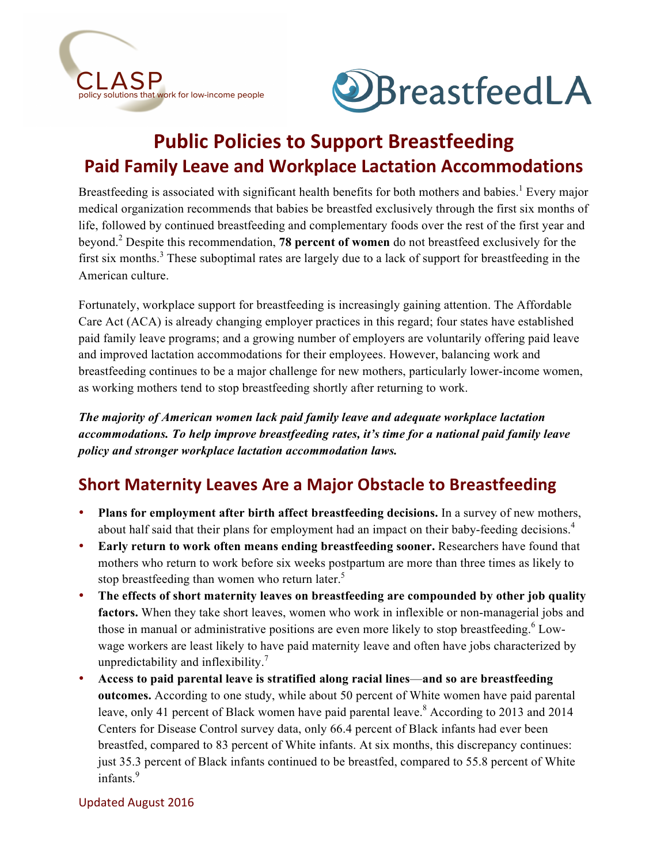



# **Public Policies to Support Breastfeeding Paid Family Leave and Workplace Lactation Accommodations**

Breastfeeding is associated with significant health benefits for both mothers and babies.<sup>1</sup> Every major medical organization recommends that babies be breastfed exclusively through the first six months of life, followed by continued breastfeeding and complementary foods over the rest of the first year and beyond. <sup>2</sup> Despite this recommendation, **78 percent of women** do not breastfeed exclusively for the first six months.<sup>3</sup> These suboptimal rates are largely due to a lack of support for breastfeeding in the American culture.

Fortunately, workplace support for breastfeeding is increasingly gaining attention. The Affordable Care Act (ACA) is already changing employer practices in this regard; four states have established paid family leave programs; and a growing number of employers are voluntarily offering paid leave and improved lactation accommodations for their employees. However, balancing work and breastfeeding continues to be a major challenge for new mothers, particularly lower-income women, as working mothers tend to stop breastfeeding shortly after returning to work.

*The majority of American women lack paid family leave and adequate workplace lactation accommodations. To help improve breastfeeding rates, it's time for a national paid family leave policy and stronger workplace lactation accommodation laws.*

### **Short Maternity Leaves Are a Major Obstacle to Breastfeeding**

- **Plans for employment after birth affect breastfeeding decisions.** In a survey of new mothers, about half said that their plans for employment had an impact on their baby-feeding decisions.<sup>4</sup>
- **Early return to work often means ending breastfeeding sooner.** Researchers have found that mothers who return to work before six weeks postpartum are more than three times as likely to stop breastfeeding than women who return later.<sup>5</sup>
- **The effects of short maternity leaves on breastfeeding are compounded by other job quality factors.** When they take short leaves, women who work in inflexible or non-managerial jobs and those in manual or administrative positions are even more likely to stop breastfeeding.<sup>6</sup> Lowwage workers are least likely to have paid maternity leave and often have jobs characterized by unpredictability and inflexibility.<sup>7</sup>
- **Access to paid parental leave is stratified along racial lines**—**and so are breastfeeding outcomes.** According to one study, while about 50 percent of White women have paid parental leave, only 41 percent of Black women have paid parental leave.<sup>8</sup> According to 2013 and 2014 Centers for Disease Control survey data, only 66.4 percent of Black infants had ever been breastfed, compared to 83 percent of White infants. At six months, this discrepancy continues: just 35.3 percent of Black infants continued to be breastfed, compared to 55.8 percent of White infants. 9

#### Updated August 2016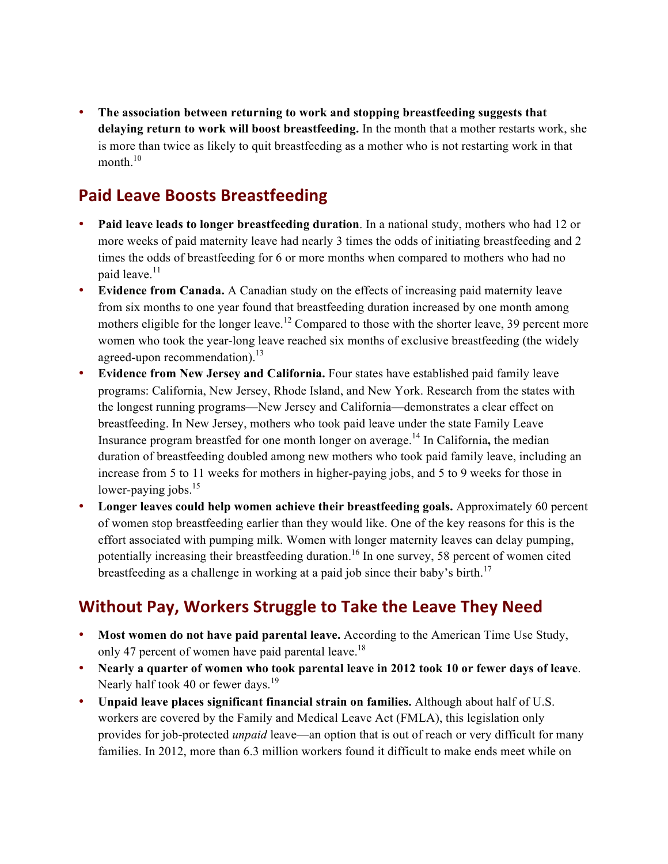• **The association between returning to work and stopping breastfeeding suggests that delaying return to work will boost breastfeeding.** In the month that a mother restarts work, she is more than twice as likely to quit breastfeeding as a mother who is not restarting work in that month. 10

### **Paid Leave Boosts Breastfeeding**

- **Paid leave leads to longer breastfeeding duration**. In a national study, mothers who had 12 or more weeks of paid maternity leave had nearly 3 times the odds of initiating breastfeeding and 2 times the odds of breastfeeding for 6 or more months when compared to mothers who had no paid leave.<sup>11</sup>
- **Evidence from Canada.** A Canadian study on the effects of increasing paid maternity leave from six months to one year found that breastfeeding duration increased by one month among mothers eligible for the longer leave.<sup>12</sup> Compared to those with the shorter leave, 39 percent more women who took the year-long leave reached six months of exclusive breastfeeding (the widely agreed-upon recommendation). $^{13}$
- **Evidence from New Jersey and California.** Four states have established paid family leave programs: California, New Jersey, Rhode Island, and New York. Research from the states with the longest running programs—New Jersey and California—demonstrates a clear effect on breastfeeding. In New Jersey, mothers who took paid leave under the state Family Leave Insurance program breastfed for one month longer on average.<sup>14</sup> In California**,** the median duration of breastfeeding doubled among new mothers who took paid family leave, including an increase from 5 to 11 weeks for mothers in higher-paying jobs, and 5 to 9 weeks for those in lower-paying jobs.<sup>15</sup>
- **Longer leaves could help women achieve their breastfeeding goals.** Approximately 60 percent of women stop breastfeeding earlier than they would like. One of the key reasons for this is the effort associated with pumping milk. Women with longer maternity leaves can delay pumping, potentially increasing their breastfeeding duration.<sup>16</sup> In one survey, 58 percent of women cited breastfeeding as a challenge in working at a paid job since their baby's birth.<sup>17</sup>

## **Without Pay, Workers Struggle to Take the Leave They Need**

- **Most women do not have paid parental leave.** According to the American Time Use Study, only 47 percent of women have paid parental leave.<sup>18</sup>
- **Nearly a quarter of women who took parental leave in 2012 took 10 or fewer days of leave**. Nearly half took 40 or fewer days.<sup>19</sup>
- **Unpaid leave places significant financial strain on families.** Although about half of U.S. workers are covered by the Family and Medical Leave Act (FMLA), this legislation only provides for job-protected *unpaid* leave—an option that is out of reach or very difficult for many families. In 2012, more than 6.3 million workers found it difficult to make ends meet while on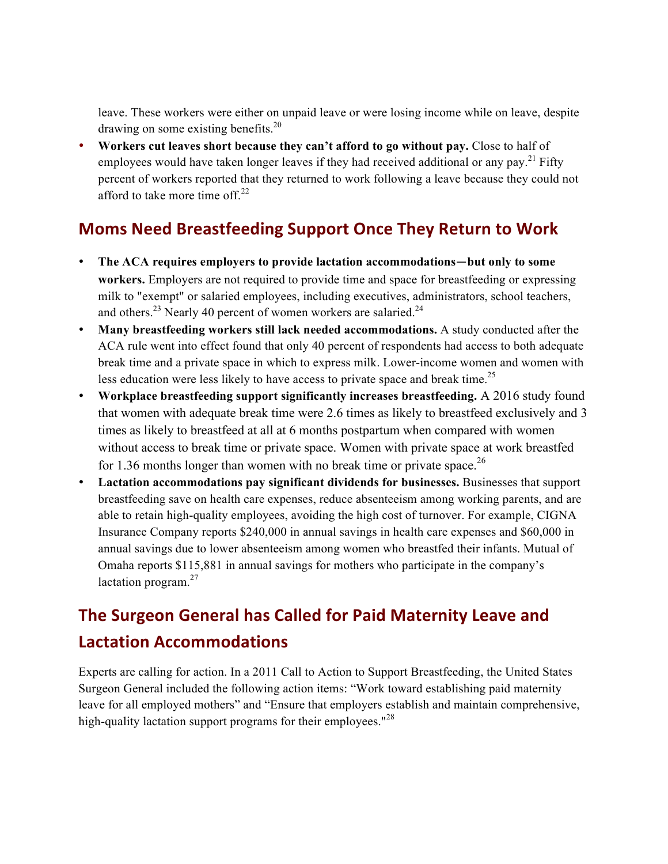leave. These workers were either on unpaid leave or were losing income while on leave, despite drawing on some existing benefits.<sup>20</sup>

• **Workers cut leaves short because they can't afford to go without pay.** Close to half of employees would have taken longer leaves if they had received additional or any pay.<sup>21</sup> Fifty percent of workers reported that they returned to work following a leave because they could not afford to take more time off. $^{22}$ 

## **Moms Need Breastfeeding Support Once They Return to Work**

- **The ACA requires employers to provide lactation accommodations**—**but only to some workers.** Employers are not required to provide time and space for breastfeeding or expressing milk to "exempt" or salaried employees, including executives, administrators, school teachers, and others.<sup>23</sup> Nearly 40 percent of women workers are salaried.<sup>24</sup>
- **Many breastfeeding workers still lack needed accommodations.** A study conducted after the ACA rule went into effect found that only 40 percent of respondents had access to both adequate break time and a private space in which to express milk. Lower-income women and women with less education were less likely to have access to private space and break time.<sup>25</sup>
- **Workplace breastfeeding support significantly increases breastfeeding.** A 2016 study found that women with adequate break time were 2.6 times as likely to breastfeed exclusively and 3 times as likely to breastfeed at all at 6 months postpartum when compared with women without access to break time or private space. Women with private space at work breastfed for 1.36 months longer than women with no break time or private space.<sup>26</sup>
- **Lactation accommodations pay significant dividends for businesses.** Businesses that support breastfeeding save on health care expenses, reduce absenteeism among working parents, and are able to retain high-quality employees, avoiding the high cost of turnover. For example, CIGNA Insurance Company reports \$240,000 in annual savings in health care expenses and \$60,000 in annual savings due to lower absenteeism among women who breastfed their infants. Mutual of Omaha reports \$115,881 in annual savings for mothers who participate in the company's lactation program. $27$

# **The Surgeon General has Called for Paid Maternity Leave and Lactation Accommodations**

Experts are calling for action. In a 2011 Call to Action to Support Breastfeeding, the United States Surgeon General included the following action items: "Work toward establishing paid maternity leave for all employed mothers" and "Ensure that employers establish and maintain comprehensive, high-quality lactation support programs for their employees."<sup>28</sup>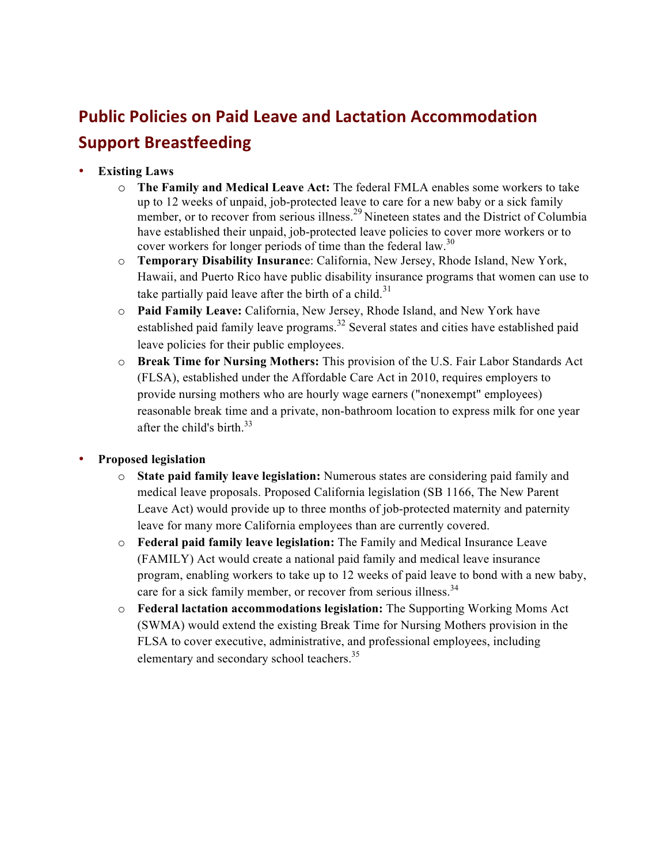# **Public Policies on Paid Leave and Lactation Accommodation Support Breastfeeding**

- **Existing Laws**
	- o **The Family and Medical Leave Act:** The federal FMLA enables some workers to take up to 12 weeks of unpaid, job-protected leave to care for a new baby or a sick family member, or to recover from serious illness.<sup>29</sup> Nineteen states and the District of Columbia have established their unpaid, job-protected leave policies to cover more workers or to cover workers for longer periods of time than the federal law.<sup>30</sup>
	- o **Temporary Disability Insuranc**e: California, New Jersey, Rhode Island, New York, Hawaii, and Puerto Rico have public disability insurance programs that women can use to take partially paid leave after the birth of a child.<sup>31</sup>
	- o **Paid Family Leave:** California, New Jersey, Rhode Island, and New York have established paid family leave programs.<sup>32</sup> Several states and cities have established paid leave policies for their public employees.
	- o **Break Time for Nursing Mothers:** This provision of the U.S. Fair Labor Standards Act (FLSA), established under the Affordable Care Act in 2010, requires employers to provide nursing mothers who are hourly wage earners ("nonexempt" employees) reasonable break time and a private, non-bathroom location to express milk for one year after the child's birth.<sup>33</sup>

#### • **Proposed legislation**

- o **State paid family leave legislation:** Numerous states are considering paid family and medical leave proposals. Proposed California legislation (SB 1166, The New Parent Leave Act) would provide up to three months of job-protected maternity and paternity leave for many more California employees than are currently covered.
- o **Federal paid family leave legislation:** The Family and Medical Insurance Leave (FAMILY) Act would create a national paid family and medical leave insurance program, enabling workers to take up to 12 weeks of paid leave to bond with a new baby, care for a sick family member, or recover from serious illness.<sup>34</sup>
- o **Federal lactation accommodations legislation:** The Supporting Working Moms Act (SWMA) would extend the existing Break Time for Nursing Mothers provision in the FLSA to cover executive, administrative, and professional employees, including elementary and secondary school teachers.<sup>35</sup>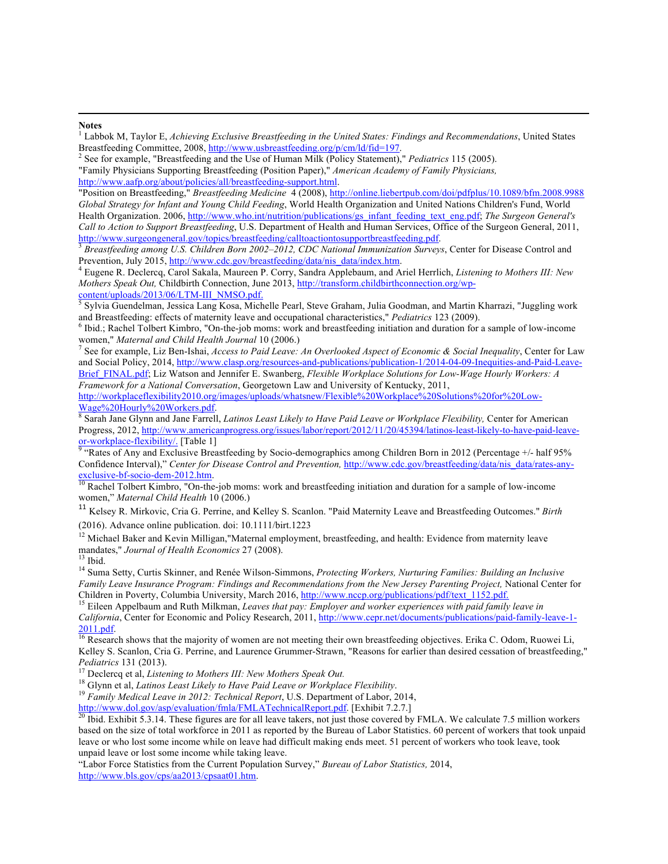#### **Notes**

| <sup>1</sup> Labbok M, Taylor E, Achieving Exclusive Breastfeeding in the United States: Findings and Recommendations, United States |
|--------------------------------------------------------------------------------------------------------------------------------------|
| Breastfeeding Committee, 2008, http://www.usbreastfeeding.org/p/cm/ld/fid=197.                                                       |
| $\frac{2}{3}$ See for example, "Breastfeeding and the Use of Human Milk (Policy Statement)," <i>Pediatrics</i> 115 (2005).           |

<u> 1989 - Andrea Andrew Maria a Carlo Maria a Carlo Maria a Carlo Maria a Carlo Maria a Carlo Maria a Carlo Mar</u>

"Family Physicians Supporting Breastfeeding (Position Paper)," *American Academy of Family Physicians,*  http://www.aafp.org/about/policies/all/breastfeeding-support.html.

"Position on Breastfeeding," *Breastfeeding Medicine* 4 (2008), http://online.liebertpub.com/doi/pdfplus/10.1089/bfm.2008.9988 *Global Strategy for Infant and Young Child Feeding*, World Health Organization and United Nations Children's Fund, World Health Organization. 2006, http://www.who.int/nutrition/publications/gs\_infant\_feeding\_text\_eng.pdf; *The Surgeon General's Call to Action to Support Breastfeeding*, U.S. Department of Health and Human Services, Office of the Surgeon General, 2011, http://www.surgeongeneral.gov/topics/breastfeeding/calltoactiontosupportbreastfeeding.pdf. 3 *Breastfeeding among U.S. Children Born 2002–2012, CDC National Immunization Surveys*, Center for Disease Control and

Prevention, July 2015, http://www.cdc.gov/breastfeeding/data/nis\_data/index.htm.

 Eugene R. Declercq, Carol Sakala, Maureen P. Corry, Sandra Applebaum, and Ariel Herrlich, *Listening to Mothers III: New Mothers Speak Out,* Childbirth Connection, June 2013, <u>http://transform.childbirthconnection.org/wp-</u><br>
<u><sup>5</sup> Sylvie Gyandalyses</u> June 11, 11, 17, 2001.

Sylvia Guendelman, Jessica Lang Kosa, Michelle Pearl, Steve Graham, Julia Goodman, and Martin Kharrazi, "Juggling work and Breastfeeding: effects of maternity leave and occupational characteristics," Pediatrics 123 (2009).<br><sup>6</sup> Ibid.; Rachel Tolbert Kimbro, "On-the-job moms: work and breastfeeding initiation and duration for a sample of low

women," *Maternal and Child Health Journal* 10 (2006.) <sup>7</sup>

<sup>7</sup> See for example, Liz Ben-Ishai, *Access to Paid Leave: An Overlooked Aspect of Economic & Social Inequality*, Center for Law and Social Policy, 2014, http://www.clasp.org/resources-and-publications/publication-1/2014-04-09-Inequities-and-Paid-Leave-Brief\_FINAL.pdf; Liz Watson and Jennifer E. Swanberg, *Flexible Workplace Solutions for Low-Wage Hourly Workers: A Framework for a National Conversation*, Georgetown Law and University of Kentucky, 2011,

http://workplaceflexibility2010.org/images/uploads/whatsnew/Flexible%20Workplace%20Solutions%20for%20Low-Wage%20Hourly%20Workers.pdf. 8

<sup>8</sup> Sarah Jane Glynn and Jane Farrell, *Latinos Least Likely to Have Paid Leave or Workplace Flexibility*, Center for American Progress, 2012, http://www.americanprogress.org/issues/labor/report/2012/11/20/45394/latinos-least-likely-to-have-paid-leaveor-workplace-flexibility/. [Table 1]<br><sup>9</sup> "Rates of Any and Exclusive Breastfeeding by Socio-demographics among Children Born in 2012 (Percentage +/- half 95%

Confidence Interval)," *Center for Disease Control and Prevention*, <u>http://www.cdc.gov/breastfeeding/data/nis\_data/rates-any-<br>exclusive-bf-socio-dem-2012.htm<br><sup>10</sup> Boshal T-th an *V*: 1<sup>10</sup> C-th and *V*: 1<sup>10</sup> C-th and *V*</u>

Rachel Tolbert Kimbro, "On-the-job moms: work and breastfeeding initiation and duration for a sample of low-income women," *Maternal Child Health* 10 (2006.)

<sup>11</sup> Kelsey R. Mirkovic, Cria G. Perrine, and Kelley S. Scanlon. "Paid Maternity Leave and Breastfeeding Outcomes." *Birth*  (2016). Advance online publication. doi: 10.1111/birt.1223

 $12$  Michael Baker and Kevin Milligan,"Maternal employment, breastfeeding, and health: Evidence from maternity leave mandates," *Journal of Health Economics* 27 (2008).<sup>13</sup> Ibid.

14 Suma Setty, Curtis Skinner, and Renée Wilson-Simmons, *Protecting Workers, Nurturing Families: Building an Inclusive Family Leave Insurance Program: Findings and Recommendations from the New Jersey Parenting Project*, National Center for Children in Poverty, Columbia University, March 2016, http://www.nccp.org/publications/pdf/text 1152

<sup>15</sup> Eileen Appelbaum and Ruth Milkman, Leaves that pay: Employer and worker experiences with paid family leave in *California*, Center for Economic and Policy Research, 2011, http://www.cepr.net/documents/publications/paid-family-leave-1-<br>2011.pdf.

 $\frac{2011.1 \text{cm}}{16}$  Research shows that the majority of women are not meeting their own breastfeeding objectives. Erika C. Odom, Ruowei Li, Kelley S. Scanlon, Cria G. Perrine, and Laurence Grummer-Strawn, "Reasons for earlier than desired cessation of breastfeeding," *Pediatrics* 131 (2013).<br><sup>17</sup> Declercq et al, *Listening to Mothers III: New Mothers Speak Out.*<br><sup>18</sup> Glynn et al, *Latinos Least Likely to Have Paid Leave or Workplace Flexibility.*<br><sup>19</sup> Family Medical Leave in 2012: Tech

http://www.dol.gov/asp/evaluation/fmla/FMLATechnicalReport.pdf. [Exhibit 7.2.7.]<br><sup>20</sup> Ibid. Exhibit 5.3.14. These figures are for all leave takers, not just those covered by FMLA. We calculate 7.5 million workers based on the size of total workforce in 2011 as reported by the Bureau of Labor Statistics. 60 percent of workers that took unpaid leave or who lost some income while on leave had difficult making ends meet. 51 percent of workers who took leave, took unpaid leave or lost some income while taking leave.

"Labor Force Statistics from the Current Population Survey," *Bureau of Labor Statistics,* 2014, http://www.bls.gov/cps/aa2013/cpsaat01.htm.